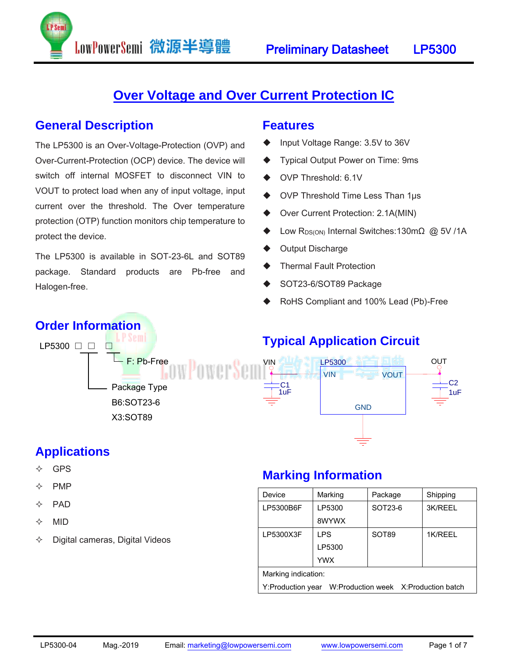

# **Over Voltage and Over Current Protection IC**

## **General Description**

The LP5300 is an Over-Voltage-Protection (OVP) and Over-Current-Protection (OCP) device. The device will switch off internal MOSFET to disconnect VIN to VOUT to protect load when any of input voltage, input current over the threshold. The Over temperature protection (OTP) function monitors chip temperature to protect the device.

LowPowerSemi 微源半導體

The LP5300 is available in SOT-23-6L and SOT89 package. Standard products are Pb-free and Halogen-free.

### **Features**

- Input Voltage Range: 3.5V to 36V
- Typical Output Power on Time: 9ms
- OVP Threshold: 6.1V
- OVP Threshold Time Less Than 1μs
- Over Current Protection: 2.1A(MIN)
- Low  $R_{DS(ON)}$  Internal Switches:130m $\Omega$  @ 5V /1A
- Output Discharge
- Thermal Fault Protection
- SOT23-6/SOT89 Package
- RoHS Compliant and 100% Lead (Pb)-Free



# **Applications**

- $\Leftrightarrow$  GPS
- $\Leftrightarrow$  PMP
- $\Leftrightarrow$  PAD
- $\Leftrightarrow$  MID
- $\diamond$  Digital cameras, Digital Videos

## **Marking Information**

| Device                                                 | Marking    | Package           | Shipping |  |  |  |
|--------------------------------------------------------|------------|-------------------|----------|--|--|--|
| LP5300B6F                                              | LP5300     | SOT23-6           | 3K/REEL  |  |  |  |
|                                                        | 8WYWX      |                   |          |  |  |  |
| LP5300X3F                                              | <b>LPS</b> | SOT <sub>89</sub> | 1K/REEL  |  |  |  |
|                                                        | LP5300     |                   |          |  |  |  |
|                                                        | YWX        |                   |          |  |  |  |
| Marking indication:                                    |            |                   |          |  |  |  |
| Y:Production year W:Production week X:Production batch |            |                   |          |  |  |  |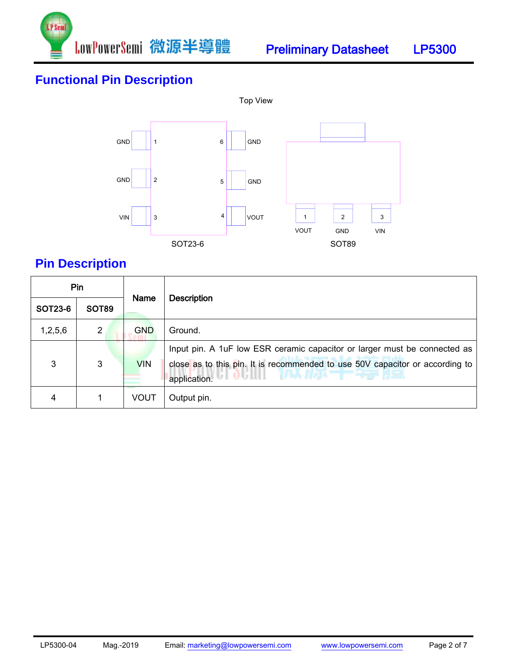

# **Functional Pin Description**



# **Pin Description**

| Pin            |              | Name        |                                                                                                                                                                                                                              |  |
|----------------|--------------|-------------|------------------------------------------------------------------------------------------------------------------------------------------------------------------------------------------------------------------------------|--|
| <b>SOT23-6</b> | <b>SOT89</b> |             | <b>Description</b>                                                                                                                                                                                                           |  |
| 1,2,5,6        | 2            | <b>GND</b>  | Ground.                                                                                                                                                                                                                      |  |
| 3              | 3            | <b>VIN</b>  | Input pin. A 1uF low ESR ceramic capacitor or larger must be connected as<br>close as to this pin. It is recommended to use 50V capacitor or according to<br><b>URA HAIVETT FROM BISC</b><br><b>I</b> UU III<br>application. |  |
| 4              | 1            | <b>VOUT</b> | Output pin.                                                                                                                                                                                                                  |  |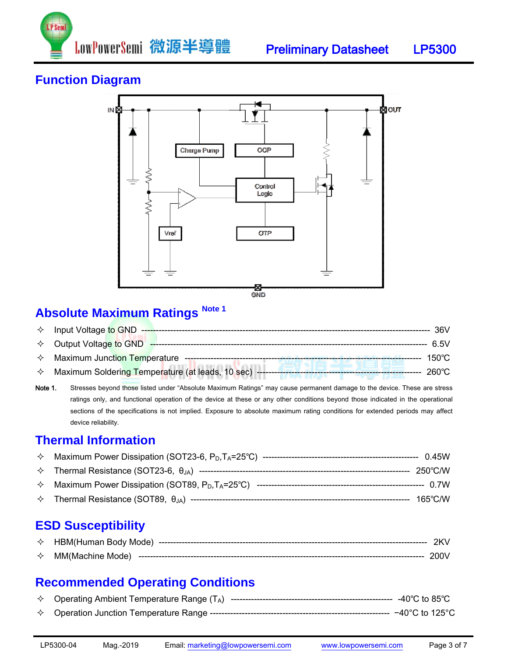

## **Function Diagram**



# **Absolute Maximum Ratings Note 1**

| ☆ Input Voltage to GND                                  | 36V             |
|---------------------------------------------------------|-----------------|
| $\Leftrightarrow$ Output Voltage to GND                 | 6.5V            |
|                                                         | $150^{\circ}$ C |
| ☆ Maximum Soldering Temperature (at leads, 10 sec) ---- | 260°C.          |

Note 1. Stresses beyond those listed under "Absolute Maximum Ratings" may cause permanent damage to the device. These are stress ratings only, and functional operation of the device at these or any other conditions beyond those indicated in the operational sections of the specifications is not implied. Exposure to absolute maximum rating conditions for extended periods may affect device reliability.

## **Thermal Information**

# **ESD Susceptibility**

|   | $\Diamond$ HBM(Human Body Mode) | 2K V |
|---|---------------------------------|------|
| ✧ | MM(Machine Mode)                | 200V |

## **Recommended Operating Conditions**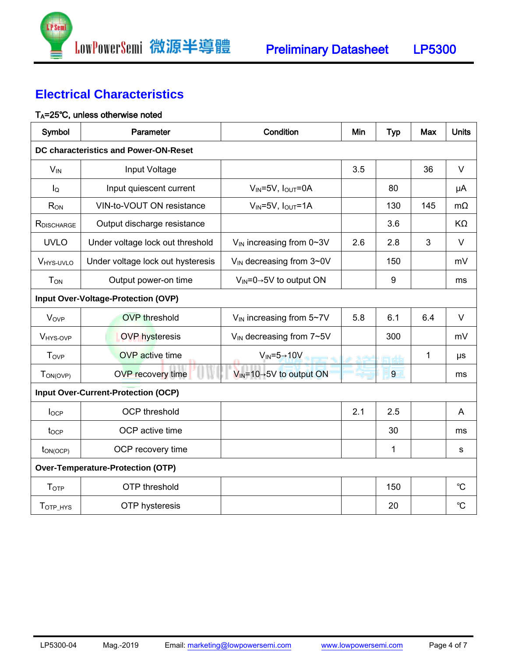

# **Electrical Characteristics**

#### TA=25℃, unless otherwise noted

| Symbol                                   | Parameter                           | Condition                                                                                     | Min | <b>Typ</b> | Max | <b>Units</b> |  |
|------------------------------------------|-------------------------------------|-----------------------------------------------------------------------------------------------|-----|------------|-----|--------------|--|
| DC characteristics and Power-ON-Reset    |                                     |                                                                                               |     |            |     |              |  |
| $V_{IN}$                                 | Input Voltage                       |                                                                                               | 3.5 |            | 36  | $\vee$       |  |
| $I_{\rm Q}$                              | Input quiescent current             | $V_{IN} = 5V$ , $I_{OUT} = 0A$                                                                |     | 80         |     | μA           |  |
| R <sub>ON</sub>                          | VIN-to-VOUT ON resistance           | $V_{IN} = 5V$ , $I_{OUT} = 1A$                                                                |     | 130        | 145 | $m\Omega$    |  |
| RDISCHARGE                               | Output discharge resistance         |                                                                                               |     | 3.6        |     | KΩ           |  |
| <b>UVLO</b>                              | Under voltage lock out threshold    | $V_{IN}$ increasing from 0~3V                                                                 | 2.6 | 2.8        | 3   | $\vee$       |  |
| V <sub>HYS-UVLO</sub>                    | Under voltage lock out hysteresis   | $V_{IN}$ decreasing from $3\negmedspace\negmedspace\negmedspace\negmedspace\negthinspace\sim$ |     | 150        |     | mV           |  |
| <b>T</b> <sub>ON</sub>                   | Output power-on time                | $V_{IN} = 0 \rightarrow 5V$ to output ON                                                      |     | 9          |     | ms           |  |
|                                          | Input Over-Voltage-Protection (OVP) |                                                                                               |     |            |     |              |  |
| Vove                                     | <b>OVP</b> threshold                | V <sub>IN</sub> increasing from 5~7V                                                          | 5.8 | 6.1        | 6.4 | $\vee$       |  |
| V <sub>HYS-OVP</sub>                     | <b>OVP</b> hysteresis               | V <sub>IN</sub> decreasing from 7~5V                                                          |     | 300        |     | mV           |  |
| <b>Tovp</b>                              | <b>OVP</b> active time              | $V_{IN} = 5 \rightarrow 10V$                                                                  |     |            | 1   | μs           |  |
| $T_{ON(OVP)}$                            | OVP recovery time                   | $V_{IN}$ =10→5V to output ON                                                                  |     | 9          |     | ms           |  |
|                                          | Input Over-Current-Protection (OCP) |                                                                                               |     |            |     |              |  |
| $I_{OCP}$                                | <b>OCP</b> threshold                |                                                                                               | 2.1 | 2.5        |     | A            |  |
| tocp                                     | OCP active time                     |                                                                                               |     | 30         |     | ms           |  |
| $t_{ON(OCP)}$                            | OCP recovery time                   |                                                                                               |     | 1          |     | s            |  |
| <b>Over-Temperature-Protection (OTP)</b> |                                     |                                                                                               |     |            |     |              |  |
| <b>T</b> <sub>OTP</sub>                  | OTP threshold                       |                                                                                               |     | 150        |     | $^{\circ}C$  |  |
| T <sub>OTP_HYS</sub>                     | OTP hysteresis                      |                                                                                               |     | 20         |     | $^{\circ}C$  |  |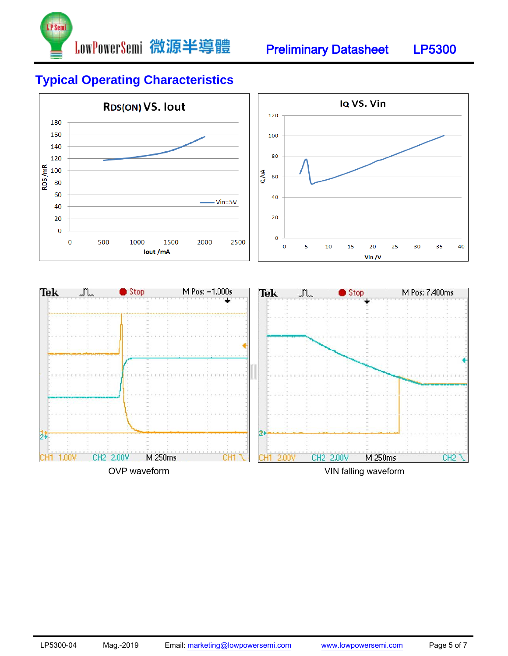

# **Typical Operating Characteristics**

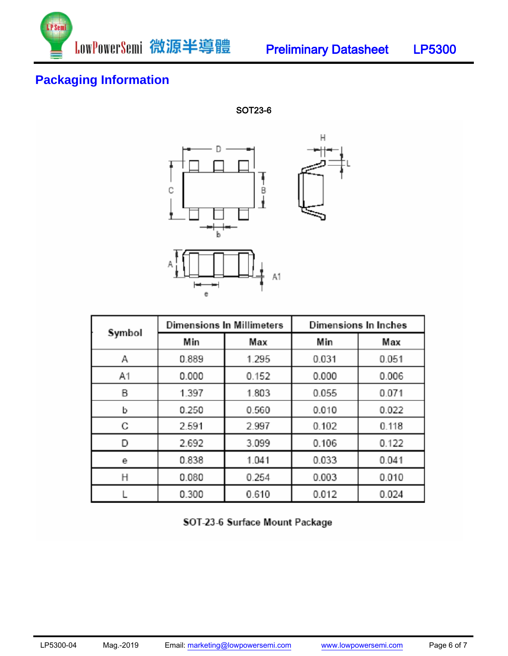

# **Packaging Information**

SOT23-6



| Symbol | <b>Dimensions In Millimeters</b> |       | Dimensions In Inches |       |  |
|--------|----------------------------------|-------|----------------------|-------|--|
|        | Min                              | Max   | Min                  | Max   |  |
| Α      | 0.889                            | 1.295 | 0.031                | 0.051 |  |
| A1     | 0.000                            | 0.152 | 0.000                | 0.006 |  |
| B      | 1.397                            | 1.803 | 0.055                | 0.071 |  |
| b      | 0.250                            | 0.560 | 0.010                | 0.022 |  |
| С      | 2.591                            | 2.997 | 0.102                | 0.118 |  |
| D      | 2.692                            | 3.099 | 0.106                | 0.122 |  |
| е      | 0.838                            | 1.041 | 0.033                | 0.041 |  |
| Η      | 0.080                            | 0.254 | 0.003                | 0.010 |  |
|        | 0.300                            | 0.610 | 0.012                | 0.024 |  |

SOT-23-6 Surface Mount Package